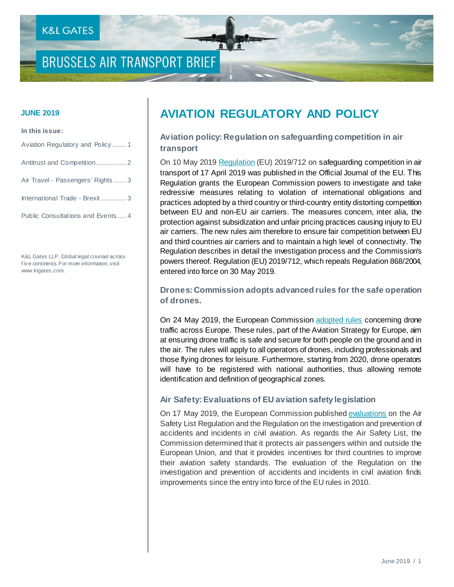# **BRUSSELS AIR TRANSPORT BRIEF**

#### **In this issue:**

| Aviation Regulatory and Policy1    |
|------------------------------------|
|                                    |
| Air Travel - Passengers' Rights  3 |
| International Trade - Brexit 3     |
| Public Consultations and Events4   |

K&L Gates LLP. Global legal counsel across f iv e continents. For more information, visit www.klgates.com.

# **JUNE 2019 AVIATION REGULATORY AND POLICY**

**Aviation policy: Regulation on safeguarding competition in air transport** 

On 10 May 2019 Regulation (EU) 2019/712 on safeguarding competition in air [transport of 17 April 2019 was published in the Official Journal of the EU. T](https://eur-lex.europa.eu/legal-content/EN/TXT/?uri=uriserv:OJ.L_.2019.123.01.0004.01.ENG&toc=OJ:L:2019:123:TOC)his Regulation grants the European Commission powers to investigate and take redressive measures relating to violation of international obligations and practices adopted by a third country or third-country entity distorting competition between EU and non-EU air carriers. The measures concern, inter alia, the protection against subsidization and unfair pricing practices causing injury to EU air carriers. The new rules aim therefore to ensure fair competition between EU and third countries air carriers and to maintain a high level of connectivity. The Regulation describes in detail the investigation process and the Commission's powers thereof. Regulation (EU) 2019/712, which repeals Regulation 868/2004, entered into force on 30 May 2019.

**Drones: Commission adopts advanced rules for the safe operation of drones.**

On 24 May 2019, the European Commissio[n adopted rules](http://europa.eu/rapid/press-release_MEX-19-2733_en.htm) concerning drone traffic across Europe. These rules, part of the Aviation Strategy for Europe, aim at ensuring drone traffic is safe and secure for both people on the ground and in the air. The rules will apply to all operators of drones, including professionals and those flying drones for leisure. Furthermore, starting from 2020, drone operators will have to be registered with national authorities, thus allowing remote identification and definition of geographical zones.

#### **Air Safety: Evaluations of EU aviation safety legislation**

On 17 May 2019, the European Commission publishe[d evaluations](https://ec.europa.eu/transport/sites/transport/files/legislation/swd20190179.pdf) on the Air Safety List Regulation and the Regulation on the investigation and prevention of accidents and incidents in civil aviation. As regards the Air Safety List, the Commission determined that it protects air passengers within and outside the European Union, and that it provides incentives for third countries to improve their aviation safety standards. The evaluation of the Regulation on the investigation and prevention of accidents and incidents in civil aviation finds improvements since the entry into force of the EU rules in 2010.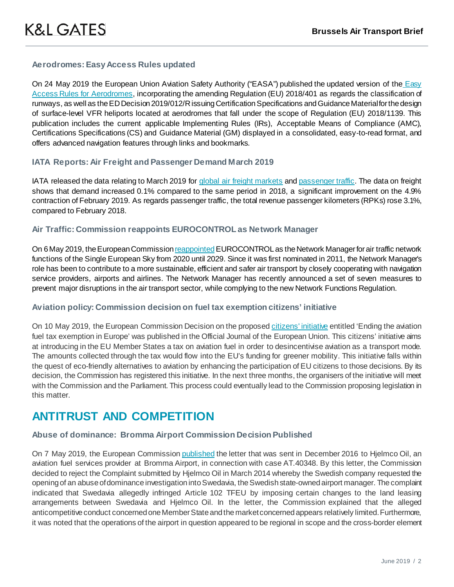#### **Aerodromes: Easy Access Rules updated**

On 24 May 2019 the European Union Aviation Safety Authority ("EASA") published the updated version of the Easy [Access Rules for Aerodromes,](https://www.easa.europa.eu/sites/default/files/dfu/Easy_Access_Rules_for_Aerodromes-May2019_0.pdf) incorporating the amending Regulation (EU) 2018/401 as regards the classification of runways, as well as the ED Decision 2019/012/R issuing Certification Specifications and Guidance Material for the design of surface-level VFR heliports located at aerodromes that fall under the scope of Regulation (EU) 2018/1139. This publication includes the current applicable Implementing Rules (IRs), Acceptable Means of Compliance (AMC), Certifications Specifications (CS) and Guidance Material (GM) displayed in a consolidated, easy-to-read format, and offers advanced navigation features through links and bookmarks.

#### **IATA Reports: Air Freight and Passenger Demand March 2019**

IATA released the data relating to March 2019 for [global air freight markets](https://www.iata.org/pressroom/pr/Pages/2019-05-07-01.aspx) and [passenger traffic.](https://www.iata.org/pressroom/pr/Pages/2019-05-08-01.aspx) The data on freight shows that demand increased 0.1% compared to the same period in 2018, a significant improvement on the 4.9% contraction of February 2019. As regards passenger traffic, the total revenue passenger kilometers (RPKs) rose 3.1%, compared to February 2018.

#### **Air Traffic: Commission reappoints EUROCONTROL as Network Manager**

On 6 May 2019, the European Commission reappointed EUROCONTROL as the Network Manager for air traffic network functions of the Single European Sky from 2020 until 2029. Since it was first nominated in 2011, the Network Manager's role has been to contribute to a more sustainable, efficient and safer air transport by closely cooperating with navigation service providers, airports and airlines. The Network Manager has recently announced a set of seven measures to prevent major disruptions in the air transport sector, while complying to the new Network Functions Regulation.

#### **Aviation policy: Commission decision on fuel tax exemption citizens' initiative**

On 10 May 2019, the European [Commission Decision on the proposed citizens' initiative](https://eur-lex.europa.eu/legal-content/EN/TXT/?uri=uriserv:OJ.L_.2019.122.01.0053.01.ENG&toc=OJ:L:2019:122:TOC) entitled 'Ending the aviation [fuel tax exemption in Europe' was published in the Official Journal of the European Union. This citizens' initiative aims](https://eur-lex.europa.eu/legal-content/EN/TXT/?uri=uriserv:OJ.L_.2019.122.01.0053.01.ENG&toc=OJ:L:2019:122:TOC)  [at introducing in the EU Member States a tax on aviation fuel in order to desincentivise aviation as a transport mode.](https://eur-lex.europa.eu/legal-content/EN/TXT/?uri=uriserv:OJ.L_.2019.122.01.0053.01.ENG&toc=OJ:L:2019:122:TOC)  [The amounts collected through the tax would flow into the EU's funding for greener mobility. This initiative falls within](https://eur-lex.europa.eu/legal-content/EN/TXT/?uri=uriserv:OJ.L_.2019.122.01.0053.01.ENG&toc=OJ:L:2019:122:TOC)  [the quest of eco-friendly alternatives to aviation by enhancing the participation of EU citizens to those decisions. B](https://eur-lex.europa.eu/legal-content/EN/TXT/?uri=uriserv:OJ.L_.2019.122.01.0053.01.ENG&toc=OJ:L:2019:122:TOC)y its decision, the Commission has registered this initiative. In the next three months, the organisers of the initiative will meet with the Commission and the Parliament. This process could eventually lead to the Commission proposing legislation in this matter.

## **ANTITRUST AND COMPETITION**

### **Abuse of dominance[: Bromma Airport Commission Decision Published](https://ec.europa.eu/transport/modes/air/news/2018-11-28-drones_en)**

On 7 May 2019, the European Commissio[n published](http://ec.europa.eu/competition/antitrust/cases/dec_docs/40348/40348_79_3.pdf) the letter that was sent in December 2016 to Hjelmco Oil, an aviation fuel services provider at Bromma Airport, in connection with case AT.40348. By this letter, the Commission decided to reject the Complaint submitted by Hjelmco Oil in March 2014 whereby the Swedish company requested the opening of an abuse of dominance investigation into Swedavia, the Swedish state-owned airport manager. The complaint indicated that Swedavia allegedly infringed Article 102 TFEU by imposing certain changes to the land leasing arrangements between Swedavia and Hjelmco Oil. In the letter, the Commission explained that the alleged anticompetitive conduct concerned one Member State and the market concerned appears relatively limited. Furthermore, it was noted that the operations of the airport in question appeared to be regional in scope and the cross-border element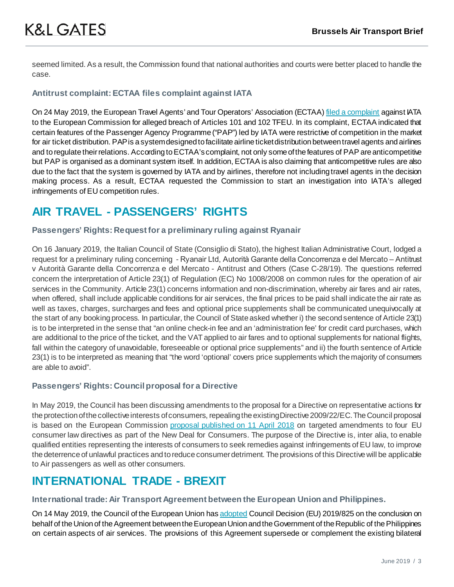seemed limited. As a result, the Commission found that national authorities and courts were better placed to handle the case.

#### **Antitrust complaint: ECTAA files complaint against IATA**

On 24 May 2019, the European Travel Agents' and Tour Operators' Association (ECTAA[\) filed a complaint](http://www.ectaa.org/files/cms/20190527-press-release-complaint-dg-comp-against-iata.pdf) against ATA to the European Commission for alleged breach of Articles 101 and 102 TFEU. In its complaint, ECTAA indicated that certain features of the Passenger Agency Programme ("PAP") led by IATA were restrictive of competition in the market for air ticket distribution. PAP is a system designed to facilitate airline ticket distribution between travel agents and airlines and to regulate their relations. According to ECTAA's complaint, not only some of the features of PAP are anticompetitive but PAP is organised as a dominant system itself. In addition, ECTAA is also claiming that anticompetitive rules are also due to the fact that the system is governed by IATA and by airlines, therefore not including travel agents in the decision making process. As a result, ECTAA requested the Commission to start an investigation into IATA's alleged infringements of EU competition rules.

# **AIR TRAVEL - PASSENGERS' RIGHTS**

#### **[Passengers' Rights: Request for a preliminary ruling against Ryanair](https://ec.europa.eu/transport/modes/air/news/2018-11-28-drones_en)**

On 16 January 2019, the Italian Council of State (Consiglio di Stato), the highest Italian Administrative Court, lodged a request for a preliminary ruling concerning - Ryanair Ltd, Autorità Garante della Concorrenza e del Mercato – Antitrust v Autorità Garante della Concorrenza e del Mercato - Antitrust and Others (Case C-28/19). The questions referred concern the interpretation of Article 23(1) of Regulation (EC) No 1008/2008 on common rules for the operation of air services in the Community. Article 23(1) concerns information and non-discrimination, whereby air fares and air rates, when offered, shall include applicable conditions for air services, the final prices to be paid shall indicate the air rate as well as taxes, charges, surcharges and fees and optional price supplements shall be communicated unequivocally at the start of any booking process. In particular, the Council of State asked whether i) the second sentence of Article 23(1) is to be interpreted in the sense that "an online check-in fee and an 'administration fee' for credit card purchases, which are additional to the price of the ticket, and the VAT applied to air fares and to optional supplements for national flights, fall within the category of unavoidable, foreseeable or optional price supplements" and ii) the fourth sentence of Article 23(1) is to be interpreted as meaning that "the word 'optional' covers price supplements which the majority of consumers are able to avoid".

#### **Passengers' Rights: Council proposal for a Directive**

In May 2019, the Council has been discussing amendments to the proposal for a Directive on representative actions for the protection of the collective interests of consumers, repealing the existing Directive 2009/22/EC. The Council proposal is based on the European Commissio[n proposal published on 11 April 2018](https://eur-lex.europa.eu/legal-content/EN/TXT/?uri=CELEX:52018PC0184) on targeted amendments to four EU consumer law directives as part of the New Deal for Consumers. The purpose of the Directive is, inter alia, to enable qualified entities representing the interests of consumers to seek remedies against infringements of EU law, to improve the deterrence of unlawful practices and to reduce consumer detriment. The provisions of this Directive will be applicable to Air passengers as well as other consumers.

# **INTERNATIONAL TRADE - BREXIT**

#### **International trade: Air Transport Agreement between the European Union and Philippines.**

On 14 May 2019, the Council of the European Union ha[s adopted](https://eur-lex.europa.eu/legal-content/EN/TXT/?uri=uriserv:OJ.L_.2019.137.01.0001.01.ENG&toc=OJ:L:2019:137:TOC) Council Decision (EU) 2019/825 on the conclusion on behalf of the Union of the Agreement between the European Union and the Government of the Republic of the Philippines on certain aspects of air services. The provisions of this Agreement supersede or complement the existing bilateral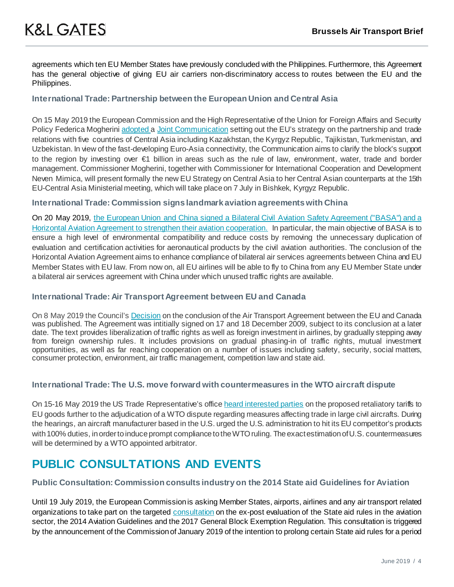agreements which ten EU Member States have previously concluded with the Philippines. Furthermore, this Agreement has the general objective of giving EU air carriers non-discriminatory access to routes between the EU and the Philippines.

#### **International Trade: Partnership between the European Union and Central Asia**

On 15 May 2019 the European Commission and the High Representative of the Union for Foreign Affairs and Security Policy Federica Mogherin[i adopted a](http://europa.eu/rapid/press-release_IP-19-2494_en.htm) [Joint Communication](https://eeas.europa.eu/headquarters/headquarters-homepage/62411/european-union-and-central-asia-new-opportunities-stronger-partnership_en) setting out the EU's strategy on the partnership and trade relations with five countries of Central Asia including Kazakhstan, the Kyrgyz Republic, Tajikistan, Turkmenistan, and Uzbekistan. In view of the fast-developing Euro-Asia connectivity, the Communication aims to clarify the block's support to the region by investing over €1 billion in areas such as the rule of law, environment, water, trade and border management. Commissioner Mogherini, together with Commissioner for International Cooperation and Development Neven Mimica, will present formally the new EU Strategy on Central Asia to her Central Asian counterparts at the 15th EU-Central Asia Ministerial meeting, which will take place on 7 July in Bishkek, Kyrgyz Republic.

#### **International Trade: Commission signs landmark aviation agreements with China**

On 20 May 2019, [the European Union and China signed a Bilateral Civil Aviation Safety Agreement \("BASA"\) and a](http://europa.eu/rapid/press-release_IP-19-2650_en.htm)  [Horizontal Aviation Agreement to strengthen their aviation cooperation.](http://europa.eu/rapid/press-release_IP-19-2650_en.htm) In particular, the main objective of BASA is to ensure a high level of environmental compatibility and reduce costs by removing the unnecessary duplication of evaluation and certification activities for aeronautical products by the civil aviation authorities. The conclusion of the Horizontal Aviation Agreement aims to enhance compliance of bilateral air services agreements between China and EU Member States with EU law. From now on, all EU airlines will be able to fly to China from any EU Member State under a bilateral air services agreement with China under which unused traffic rights are available.

#### **International Trade: Air Transport Agreement between EU and Canada**

On 8 May 2019 the Council'[s Decision](https://eur-lex.europa.eu/legal-content/EN/TXT/?uri=uriserv:OJ.L_.2019.120.01.0001.01.ENG&toc=OJ:L:2019:120:TOC) on the conclusion of the Air Transport Agreement between the EU and Canada was published. The Agreement was intitially signed on 17 and 18 December 2009, subject to its conclusion at a later date. The text provides liberalization of traffic rights as well as foreign investment in airlines, by gradually stepping away from foreign ownership rules. It includes provisions on gradual phasing-in of traffic rights, mutual investment opportunities, as well as far reaching cooperation on a number of issues including safety, security, social matters, consumer protection, environment, air traffic management, competition law and state aid.

#### **International Trade: The U.S. move forward with countermeasures in the WTO aircraft dispute**

On 15-16 May 2019 the US Trade Representative's office [heard interested parties](https://ustr.gov/sites/default/files/enforcement/301Investigations/Section_301_Hearing_on_Proposed_Countermeasures_to_EU_Aircraft_Subsidies%20%E2%80%93%20May_15%E2%80%9316_Panel_Schedule.pdf) on the proposed retaliatory tariffs to EU goods further to the adjudication of a WTO dispute regarding measures affecting trade in large civil aircrafts. During the hearings, an aircraft manufacturer based in the U.S. urged the U.S. administration to hit its EU competitor's products with 100% duties, in order to induce prompt compliance to the WTO ruling. The exact estimation of U.S. countermeasures will be determined by a WTO appointed arbitrator.

# **PUBLIC CONSULTATIONS AND EVENTS**

#### **Public Consultation: Commission consults industry on the 2014 State aid Guidelines for Aviation**

Until 19 July 2019, the European Commission is asking Member States, airports, airlines and any air transport related organizations to take part on the targeted [consultation](http://ec.europa.eu/competition/consultations/2019_aviation_guidelines/index_en.html) on the ex-post evaluation of the State aid rules in the aviation sector, the 2014 Aviation Guidelines and the 2017 General Block Exemption Regulation. This consultation is triggered by the announcement of the Commission of January 2019 of the intention to prolong certain State aid rules for a period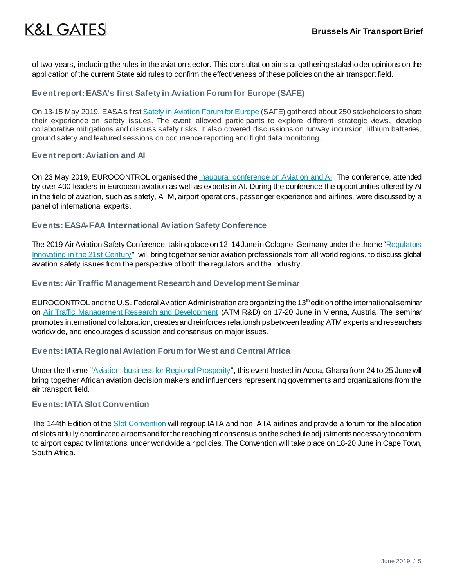of two years, including the rules in the aviation sector. This consultation aims at gathering stakeholder opinions on the application of the current State aid rules to confirm the effectiveness of these policies on the air transport field.

#### **Event report: EASA's first Safety in Aviation Forum for Europe (SAFE)**

On 13-15 May 2019, EASA's firs[t Satefy in Aviation Forum for Europe](https://www.easa.europa.eu/newsroom-and-events/news/easa-gathered-aviation-safety-community-first-safety-aviation-forum-europe) (SAFE) gathered about 250 stakeholders to share their experience on safety issues. The event allowed participants to explore different strategic views, develop collaborative mitigations and discuss safety risks. It also covered discussions on runway incursion, lithium batteries, ground safety and featured sessions on occurrence reporting and flight data monitoring.

#### **Event report: Aviation and AI**

On 23 May 2019, EUROCONTROL organised the [inaugural conference on Aviation and AI.](https://www.eurocontrol.int/press-releases/conference-raises-awareness-on-ai-and-aviation) The conference, attended by over 400 leaders in European aviation as well as experts in AI. During the conference the opportunities offered by AI in the field of aviation, such as safety, ATM, airport operations, passenger experience and airlines, were discussed by a panel of international experts.

#### **Events: EASA-FAA International Aviation Safety Conference**

The 2019 Air Aviation Safety Conference, taking place on 12 -14 June in Cologne, Germany under the theme "Regulators [Innovating in the 21st Century"](https://www.easa.europa.eu/newsroom-and-events/events/2019-easa-faa-international-aviation-safety-conference), will bring together senior aviation professionals from all world regions, to discuss global aviation safety issues from the perspective of both the regulators and the industry.

#### **Events: Air Traffic Management Research and Development Seminar**

EUROCONTROL and the U.S. Federal Aviation Administration are organizing the 13<sup>th</sup> edition of the international seminar on [Air Traffic Management Research and Development](https://www.eurocontrol.int/events/atm-rnd-seminar-2019) (ATM R&D) on 17-20 June in Vienna, Austria. The seminar promotes international collaboration, creates and reinforces relationships between leading ATM experts and researchers worldwide, and encourages discussion and consensus on major issues.

#### **Events: IATA Regional Aviation Forum for West and Central Africa**

Under the theme "Aviation: business for Regional Prosperity", this event hosted in Accra, Ghana from 24 to 25 June will bring together African aviation decision makers and influencers representing governments and organizations from the air transport field.

#### **Events: IATA Slot Convention**

The 144th Edition of th[e Slot Convention](https://www.iata.org/events/sc144/Pages/index.aspx) will regroup IATA and non IATA airlines and provide a forum for the allocation of slots at fully coordinated airports and for the reaching of consensus on the schedule adjustments necessary to conform to airport capacity limitations, under worldwide air policies. The Convention will take place on 18-20 June in Cape Town, South Africa.